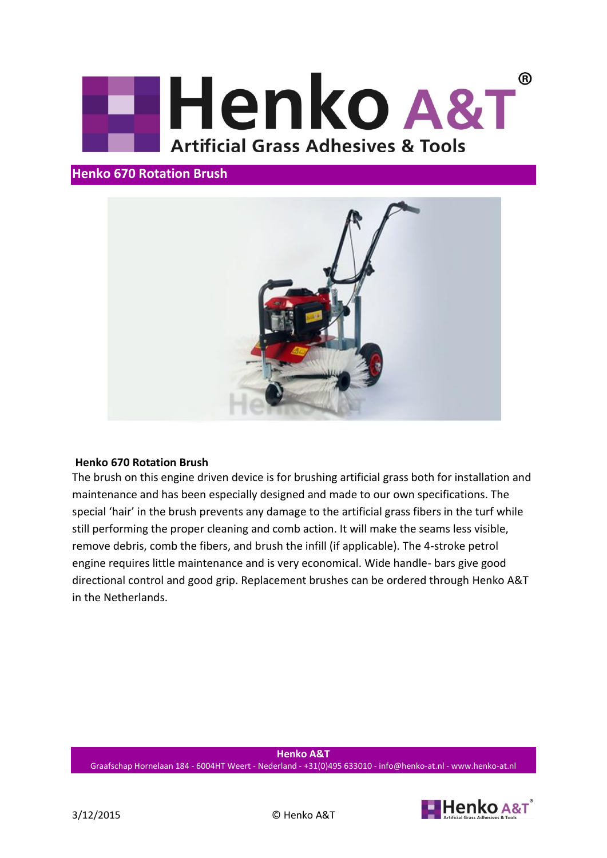

## **Henko 670 Rotation Brush**



## **Henko 670 Rotation Brush**

The brush on this engine driven device is for brushing artificial grass both for installation and maintenance and has been especially designed and made to our own specifications. The special 'hair' in the brush prevents any damage to the artificial grass fibers in the turf while still performing the proper cleaning and comb action. It will make the seams less visible, remove debris, comb the fibers, and brush the infill (if applicable). The 4-stroke petrol engine requires little maintenance and is very economical. Wide handle- bars give good directional control and good grip. Replacement brushes can be ordered through Henko A&T in the Netherlands.

**Henko A&T** Graafschap Hornelaan 184 - 6004HT Weert - Nederland - +31(0)495 633010 - info@henko-at.nl - www.henko-at.nl